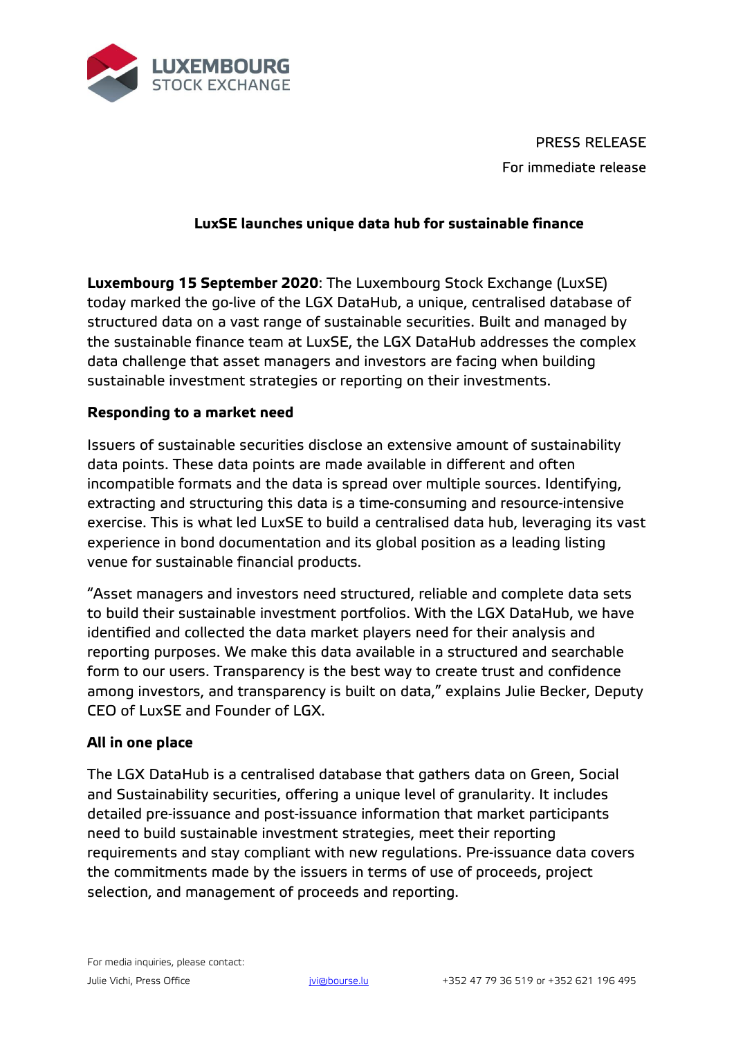

PRESS RELEASE For immediate release

## **LuxSE launches unique data hub for sustainable finance**

**Luxembourg 15 September 2020**: The Luxembourg Stock Exchange (LuxSE) today marked the go-live of the LGX DataHub, a unique, centralised database of structured data on a vast range of sustainable securities. Built and managed by the sustainable finance team at LuxSE, the LGX DataHub addresses the complex data challenge that asset managers and investors are facing when building sustainable investment strategies or reporting on their investments.

### **Responding to a market need**

Issuers of sustainable securities disclose an extensive amount of sustainability data points. These data points are made available in different and often incompatible formats and the data is spread over multiple sources. Identifying, extracting and structuring this data is a time-consuming and resource-intensive exercise. This is what led LuxSE to build a centralised data hub, leveraging its vast experience in bond documentation and its global position as a leading listing venue for sustainable financial products.

"Asset managers and investors need structured, reliable and complete data sets to build their sustainable investment portfolios. With the LGX DataHub, we have identified and collected the data market players need for their analysis and reporting purposes. We make this data available in a structured and searchable form to our users. Transparency is the best way to create trust and confidence among investors, and transparency is built on data," explains Julie Becker, Deputy CEO of LuxSE and Founder of LGX.

### **All in one place**

The LGX DataHub is a centralised database that gathers data on Green, Social and Sustainability securities, offering a unique level of granularity. It includes detailed pre-issuance and post-issuance information that market participants need to build sustainable investment strategies, meet their reporting requirements and stay compliant with new regulations. Pre-issuance data covers the commitments made by the issuers in terms of use of proceeds, project selection, and management of proceeds and reporting.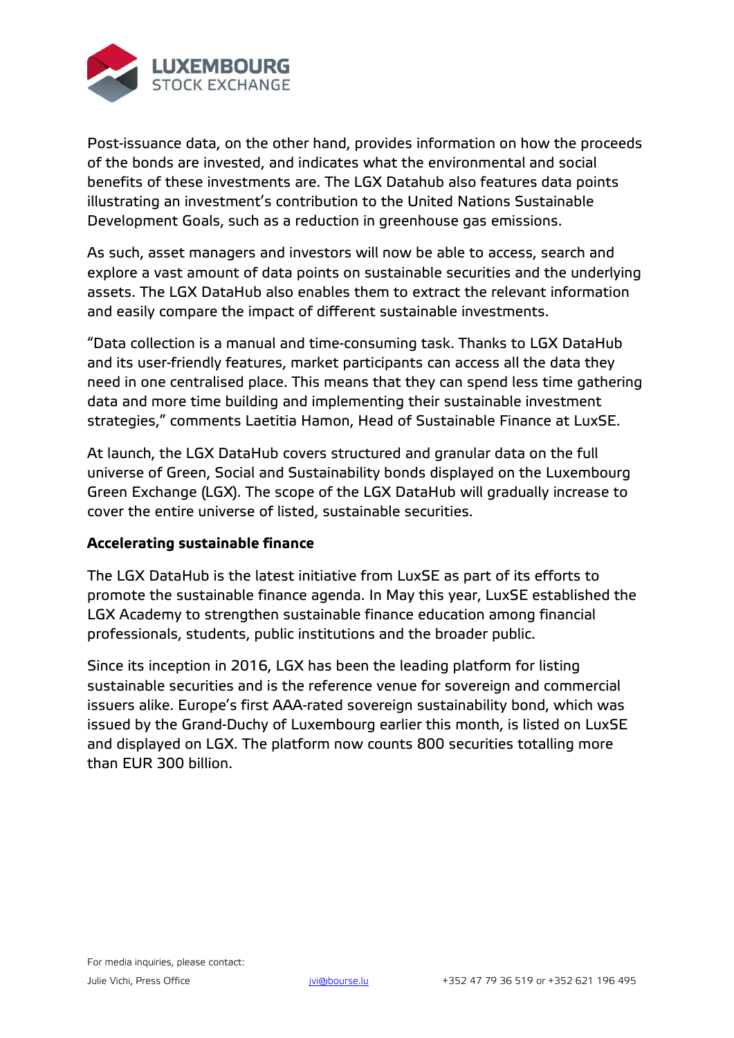

Post-issuance data, on the other hand, provides information on how the proceeds of the bonds are invested, and indicates what the environmental and social benefits of these investments are. The LGX Datahub also features data points illustrating an investment's contribution to the United Nations Sustainable Development Goals, such as a reduction in greenhouse gas emissions.

As such, asset managers and investors will now be able to access, search and explore a vast amount of data points on sustainable securities and the underlying assets. The LGX DataHub also enables them to extract the relevant information and easily compare the impact of different sustainable investments.

"Data collection is a manual and time-consuming task. Thanks to LGX DataHub and its user-friendly features, market participants can access all the data they need in one centralised place. This means that they can spend less time gathering data and more time building and implementing their sustainable investment strategies," comments Laetitia Hamon, Head of Sustainable Finance at LuxSE.

At launch, the LGX DataHub covers structured and granular data on the full universe of Green, Social and Sustainability bonds displayed on the Luxembourg Green Exchange (LGX). The scope of the LGX DataHub will gradually increase to cover the entire universe of listed, sustainable securities.

# **Accelerating sustainable finance**

The LGX DataHub is the latest initiative from LuxSE as part of its efforts to promote the sustainable finance agenda. In May this year, LuxSE established the LGX Academy to strengthen sustainable finance education among financial professionals, students, public institutions and the broader public.

Since its inception in 2016, LGX has been the leading platform for listing sustainable securities and is the reference venue for sovereign and commercial issuers alike. Europe's first AAA-rated sovereign sustainability bond, which was issued by the Grand-Duchy of Luxembourg earlier this month, is listed on LuxSE and displayed on LGX. The platform now counts 800 securities totalling more than EUR 300 billion.